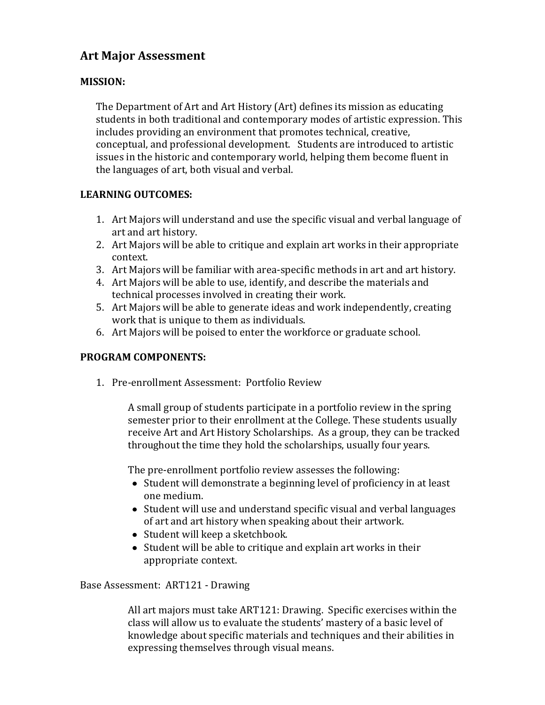# **Art Major Assessment**

### **MISSION:**

The Department of Art and Art History (Art) defines its mission as educating students in both traditional and contemporary modes of artistic expression. This includes providing an environment that promotes technical, creative, conceptual, and professional development. Students are introduced to artistic issues in the historic and contemporary world, helping them become fluent in the languages of art, both visual and verbal.

#### **LEARNING OUTCOMES:**

- 1. Art Majors will understand and use the specific visual and verbal language of art and art history.
- 2. Art Majors will be able to critique and explain art works in their appropriate context.
- 3. Art Majors will be familiar with area-specific methods in art and art history.
- 4. Art Majors will be able to use, identify, and describe the materials and technical processes involved in creating their work.
- 5. Art Majors will be able to generate ideas and work independently, creating work that is unique to them as individuals.
- 6. Art Majors will be poised to enter the workforce or graduate school.

#### **PROGRAM COMPONENTS:**

1. Pre-enrollment Assessment: Portfolio Review

A small group of students participate in a portfolio review in the spring semester prior to their enrollment at the College. These students usually receive Art and Art History Scholarships. As a group, they can be tracked throughout the time they hold the scholarships, usually four years.

The pre-enrollment portfolio review assesses the following:

- Student will demonstrate a beginning level of proficiency in at least one medium.
- Student will use and understand specific visual and verbal languages of art and art history when speaking about their artwork.
- Student will keep a sketchbook.
- Student will be able to critique and explain art works in their appropriate context.

Base Assessment: ART121 - Drawing

All art majors must take ART121: Drawing. Specific exercises within the class will allow us to evaluate the students' mastery of a basic level of knowledge about specific materials and techniques and their abilities in expressing themselves through visual means.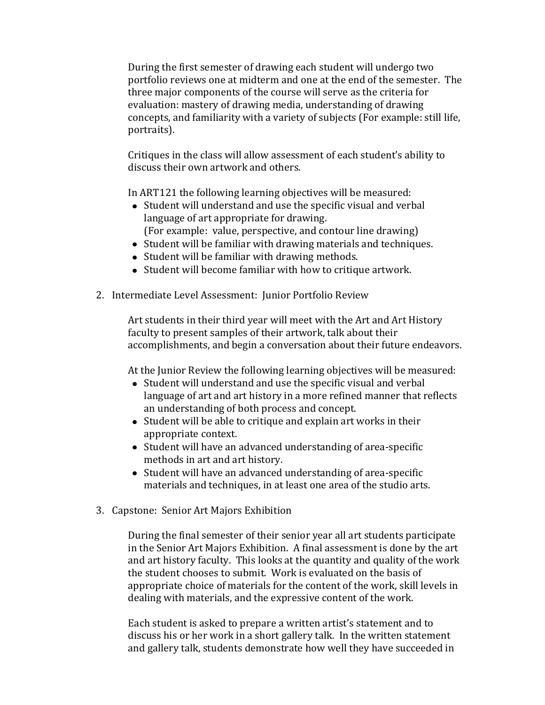During the first semester of drawing each student will undergo two portfolio reviews one at midterm and one at the end of the semester. The three major components of the course will serve as the criteria for evaluation: mastery of drawing media, understanding of drawing concepts, and familiarity with a variety of subjects (For example: still life, portraits).

Critiques in the class will allow assessment of each student's ability to discuss their own artwork and others.

In ART121 the following learning objectives will be measured:

- Student will understand and use the specific visual and verbal language of art appropriate for drawing. (For example: value, perspective, and contour line drawing)
- Student will be familiar with drawing materials and techniques.
- Student will be familiar with drawing methods.
- Student will become familiar with how to critique artwork.
- 2. Intermediate Level Assessment: Junior Portfolio Review

Art students in their third year will meet with the Art and Art History faculty to present samples of their artwork, talk about their accomplishments, and begin a conversation about their future endeavors.

At the Junior Review the following learning objectives will be measured:

- Student will understand and use the specific visual and verbal language of art and art history in a more refined manner that reflects an understanding of both process and concept.
- Student will be able to critique and explain art works in their appropriate context.
- Student will have an advanced understanding of area-specific methods in art and art history.
- Student will have an advanced understanding of area-specific materials and techniques, in at least one area of the studio arts.
- 3. Capstone: Senior Art Majors Exhibition

During the final semester of their senior year all art students participate in the Senior Art Majors Exhibition. A final assessment is done by the art and art history faculty. This looks at the quantity and quality of the work the student chooses to submit. Work is evaluated on the basis of appropriate choice of materials for the content of the work, skill levels in dealing with materials, and the expressive content of the work.

Each student is asked to prepare a written artist's statement and to discuss his or her work in a short gallery talk. In the written statement and gallery talk, students demonstrate how well they have succeeded in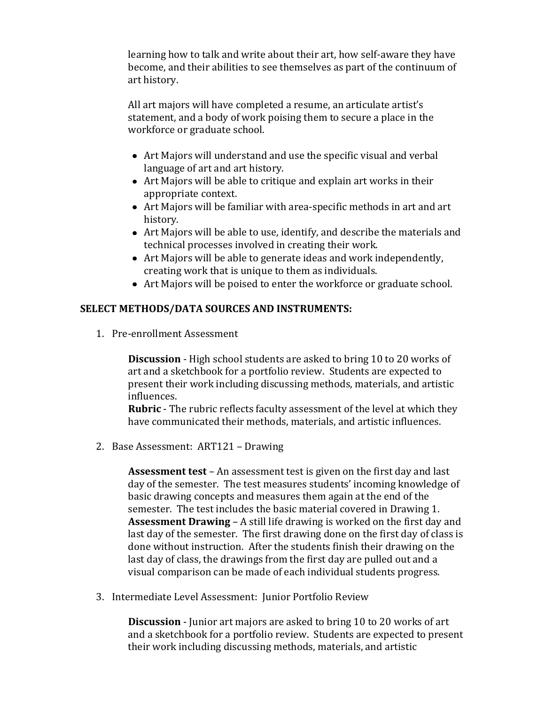learning how to talk and write about their art, how self-aware they have become, and their abilities to see themselves as part of the continuum of art history.

All art majors will have completed a resume, an articulate artist's statement, and a body of work poising them to secure a place in the workforce or graduate school.

- Art Majors will understand and use the specific visual and verbal language of art and art history.
- Art Majors will be able to critique and explain art works in their appropriate context.
- Art Majors will be familiar with area-specific methods in art and art history.
- Art Majors will be able to use, identify, and describe the materials and technical processes involved in creating their work.
- Art Majors will be able to generate ideas and work independently, creating work that is unique to them as individuals.
- Art Majors will be poised to enter the workforce or graduate school.

## **SELECT METHODS/DATA SOURCES AND INSTRUMENTS:**

1. Pre-enrollment Assessment

**Discussion** - High school students are asked to bring 10 to 20 works of art and a sketchbook for a portfolio review. Students are expected to present their work including discussing methods, materials, and artistic influences.

**Rubric** - The rubric reflects faculty assessment of the level at which they have communicated their methods, materials, and artistic influences.

2. Base Assessment: ART121 – Drawing

**Assessment test** – An assessment test is given on the first day and last day of the semester. The test measures students' incoming knowledge of basic drawing concepts and measures them again at the end of the semester. The test includes the basic material covered in Drawing 1. **Assessment Drawing** – A still life drawing is worked on the first day and last day of the semester. The first drawing done on the first day of class is done without instruction. After the students finish their drawing on the last day of class, the drawings from the first day are pulled out and a visual comparison can be made of each individual students progress.

3. Intermediate Level Assessment: Junior Portfolio Review

**Discussion** - Junior art majors are asked to bring 10 to 20 works of art and a sketchbook for a portfolio review. Students are expected to present their work including discussing methods, materials, and artistic